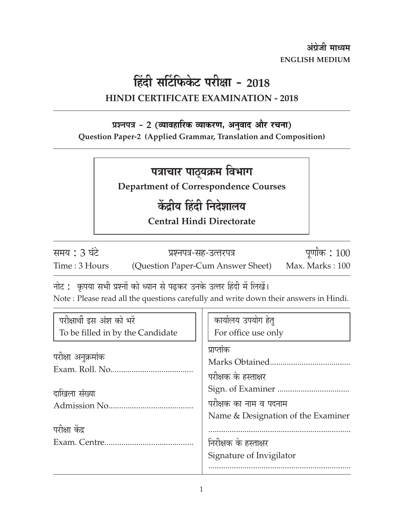अंग्रेजी माध्यम **ENGLISH MEDIUM** 

# हिंदी सर्टिफिकेट परीक्षा - 2018

### **HINDI CERTIFICATE EXAMINATION - 2018**

### प्रश्नपत्र - 2 (व्यावहारिक व्याकरण, अनुवाद और रचना)

Question Paper-2 (Applied Grammar, Translation and Composition)

### पत्राचार पाठ्यक्रम विभाग

**Department of Correspondence Courses** 

## केंद्रीय हिंदी निदेशालय

**Central Hindi Directorate** 

समय : 3 घंटे Time: 3 Hours

प्रश्नपत्र-सह-उत्तरपत्र (Question Paper-Cum Answer Sheet)

पूर्णांक: 100 Max. Marks: 100

नोट : कृपया सभी प्रश्नों को ध्यान से पढ़कर उनके उत्तर हिंदी में लिखें।

Note: Please read all the questions carefully and write down their answers in Hindi.

| परीक्षार्थी इस अंश को भरें       | कार्यालय उपयोग हेत्                |
|----------------------------------|------------------------------------|
| To be filled in by the Candidate | For office use only                |
| परीक्षा अनुक्रमांक               | प्राप्तांक                         |
|                                  | Marks Obtained                     |
|                                  | परीक्षक के हस्ताक्षर               |
| दाखिला संख्या                    |                                    |
|                                  | परीक्षक का नाम व पदनाम             |
|                                  | Name & Designation of the Examiner |
| परीक्षा केंद्र                   |                                    |
|                                  | निरीक्षक के हस्ताक्षर              |
|                                  | Signature of Invigilator           |
|                                  |                                    |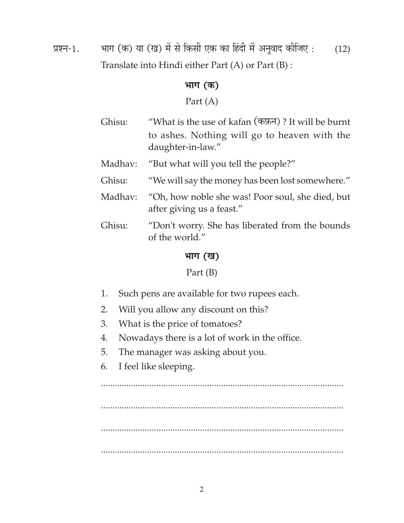प्रश्न-1. भाग (क) या (ख) में से किसी एक का हिंदी में अनुवाद कीजिए : (12) Translate into Hindi either Part (A) or Part (B) :

#### **¦ÉÉMÉ (Eò)**

Part (A)

- Ghisu: "What is the use of kafan  $(\overline{\text{ex}})$ ? It will be burnt to ashes. Nothing will go to heaven with the daughter-in-law."
- Madhav: "But what will you tell the people?"
- Ghisu: "We will say the money has been lost somewhere."
- Madhav: "Oh, how noble she was! Poor soul, she died, but after giving us a feast."
- Ghisu: "Don't worry. She has liberated from the bounds of the world."

### **¦ÉÉMÉ (JÉ)**

Part (B)

- 1. Such pens are available for two rupees each.
- 2. Will you allow any discount on this?
- 3. What is the price of tomatoes?
- 4. Nowadays there is a lot of work in the office.
- 5. The manager was asking about you.
- 6. I feel like sleeping.

......................................................................................................... ......................................................................................................... ......................................................................................................... .........................................................................................................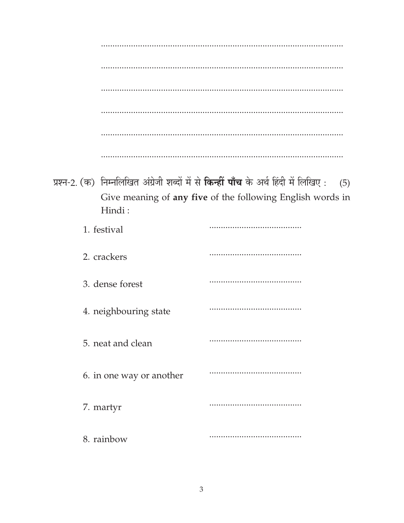|                          | प्रश्न-2. (क) निम्नलिखित अंग्रेजी शब्दों में से किन्हीं पाँच के अर्थ हिंदी में लिखिए:<br>(5) |
|--------------------------|----------------------------------------------------------------------------------------------|
| Hindi:                   | Give meaning of any five of the following English words in                                   |
| 1. festival              |                                                                                              |
| 2. crackers              |                                                                                              |
| 3. dense forest          |                                                                                              |
| 4. neighbouring state    |                                                                                              |
| 5. neat and clean        |                                                                                              |
| 6. in one way or another |                                                                                              |
| 7. martyr                |                                                                                              |
| 8. rainbow               |                                                                                              |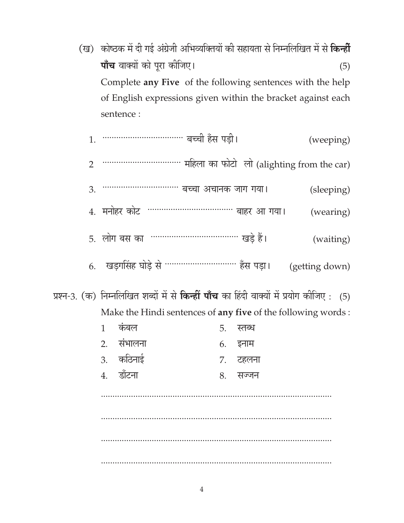(ख) कोष्ठक में दी गई अंग्रेजी अभिव्यक्तियों की सहायता से निम्नलिखित में से **किन्हीं पाँच** वाक्यों को पूरा कीजिए।  $(5)$ Complete any Five of the following sentences with the help of English expressions given within the bracket against each sentence :

| 1.             |              |            |                                                                                            |    |          |  | (weeping)      |  |
|----------------|--------------|------------|--------------------------------------------------------------------------------------------|----|----------|--|----------------|--|
| $\overline{2}$ |              |            |                                                                                            |    |          |  |                |  |
| 3.             |              |            |                                                                                            |    |          |  | (sleeping)     |  |
|                |              |            | 4.  मनोहर कोट  ……………………………… बाहर आ गया।                                                    |    |          |  | (wearing)      |  |
|                |              |            | 5. लोग बस का …………………………… खडे हैं।                                                          |    |          |  | (waiting)      |  |
|                |              |            | 6.    खड़गसिंह घोड़े से ………………………… हँस पड़ा।                                               |    |          |  | (getting down) |  |
|                |              |            | (क) निम्नलिखित शब्दों में से <b>किन्हीं पाँच</b> का हिंदी वाक्यों में प्रयोग कीजिए :   (5) |    |          |  |                |  |
|                |              |            | Make the Hindi sentences of any five of the following words:                               |    |          |  |                |  |
|                | $\mathbf{1}$ | कंबल       |                                                                                            | 5. | स्तब्ध   |  |                |  |
|                |              | 2. संभालना |                                                                                            | 6. | इनाम     |  |                |  |
|                |              | 3. कठिनाई  |                                                                                            |    | ७. टहलना |  |                |  |
|                |              | 4. डॉटना   |                                                                                            | 8. | सज्जन    |  |                |  |
|                |              |            |                                                                                            |    |          |  |                |  |
|                |              |            |                                                                                            |    |          |  |                |  |
|                |              |            |                                                                                            |    |          |  |                |  |

प्रश्न-3.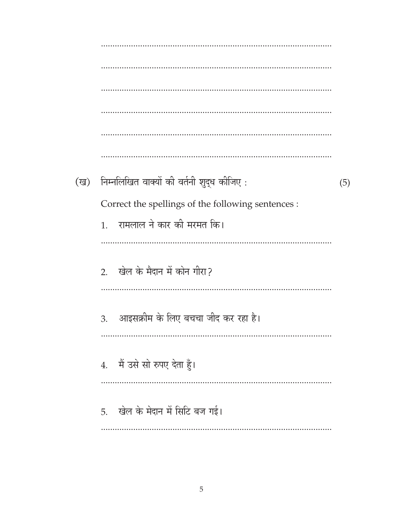(ख) निम्नलिखित वाक्यों की वर्तनी शुद्ध कीजिए:  $(5)$ Correct the spellings of the following sentences : रामलाल ने कार की मरमत कि।  $1.$ 2. खेल के मैदान में कोन गीरा? आइसक्रीम के लिए बचचा जीद कर रहा है। 3. 4. मैं उसे सो रुपए देता हुँ। 5. खेल के मेदान में सिटि बज गई।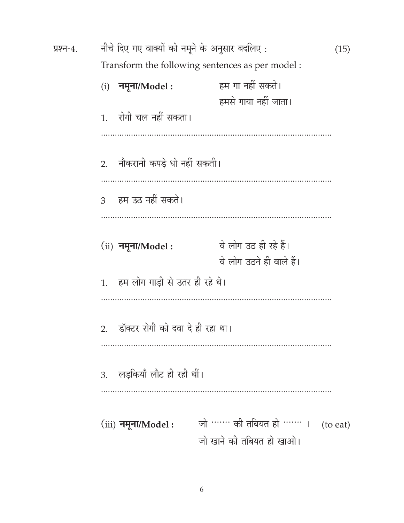| प्रश्न-4. | नीचे दिए गए वाक्यों को नमूने के अनुसार बदलिए : |                                                    |          |  |  |
|-----------|------------------------------------------------|----------------------------------------------------|----------|--|--|
|           |                                                | Transform the following sentences as per model :   |          |  |  |
|           | नमूना/ $Model:$<br>(i)                         | हम गा नहीं सकते।<br>हमसे गाया नहीं जाता।           |          |  |  |
|           | 1. रोगी चल नहीं सकता।                          |                                                    |          |  |  |
|           | 2.     नौकरानी कपड़े धो नहीं सकती।             |                                                    |          |  |  |
|           | 3 – हम उठ नहीं सकते।                           |                                                    |          |  |  |
|           | $(ii)$ नमूना/Model :                           | वे लोग उठ ही रहे हैं।<br>वे लोग उठने ही वाले हैं।  |          |  |  |
|           | 1.    हम लोग गाड़ी से उतर ही रहे थे।           |                                                    |          |  |  |
|           | 2. डॉक्टर रोगी को दवा दे ही रहा था।            |                                                    |          |  |  |
|           | 3. लडकियाँ लौट ही रही थीं।                     |                                                    |          |  |  |
|           | $(iii)$ नमूना/Model :                          | जो …… की तबियत हो …… ।<br>जो खाने की तबियत हो खाओ। | (to eat) |  |  |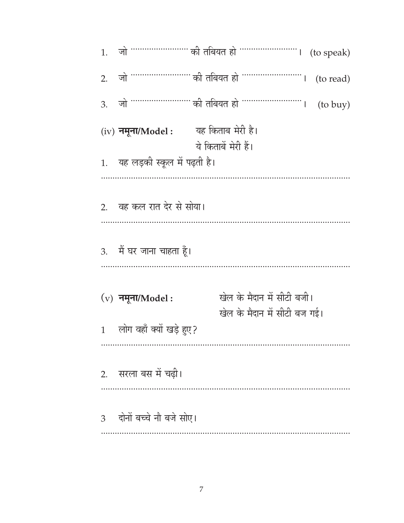जो …………………… की तबियत हो ……………………… (to read)  $2.$ (to buy) 3. यह किताब मेरी है।  $(iv)$  नमूना/Model: ये किताबें मेरी हैं। 1. यह लड़की स्कूल में पढ़ती है। 2. वह कल रात देर से सोया। 3. मैं घर जाना चाहता हूँ। खेल के मैदान में सीटी बजी।  $(v)$  नमूना/Model: खेल के मैदान में सीटी बज गई। लोग वहाँ क्यों खड़े हुए?  $\mathbf{1}$ सरला बस में चढ़ी।  $2.$ 3 दोनों बच्चे नौ बजे सोए।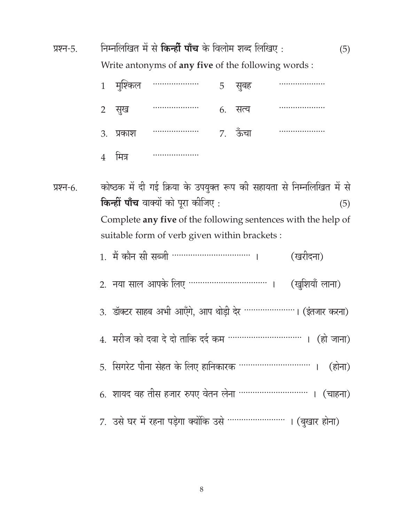निम्नलिखित में से किन्हीं पाँच के विलोम शब्द लिखिए: प्रश्न-5.  $(5)$ Write antonyms of any five of the following words:

|                | 1 मुश्किल |   | 5 | सूबह    |  |
|----------------|-----------|---|---|---------|--|
|                | 2 सुख     | . |   | 6. सत्य |  |
|                | 3. प्रकाश |   |   | 7. ऊँचा |  |
| $\overline{4}$ | मित्र     | . |   |         |  |

कोष्ठक में दी गई क्रिया के उपयुक्त रूप की सहायता से निम्नलिखित में से प्रश्न-6. **किन्हीं पाँच** वाक्यों को पूरा कीजिए :  $(5)$ Complete any five of the following sentences with the help of suitable form of verb given within brackets :

| 2. नया साल आपके लिए ………………………………………. (खुशियाँ लाना)            |
|----------------------------------------------------------------|
| 3. डॉक्टर साहब अभी आएँगे, आप थोड़ी देर ………………… । (इंतजार करना) |
|                                                                |
| 5. सिगरेट पीना सेहत के लिए हानिकारक …………………………… । (होना)       |
| 6. शायद वह तीस हजार रुपए वेतन लेना ………………………… । (चाहना)        |
| 7. उसे घर में रहना पड़ेगा क्योंकि उसे …………………… । (बुखार होना)  |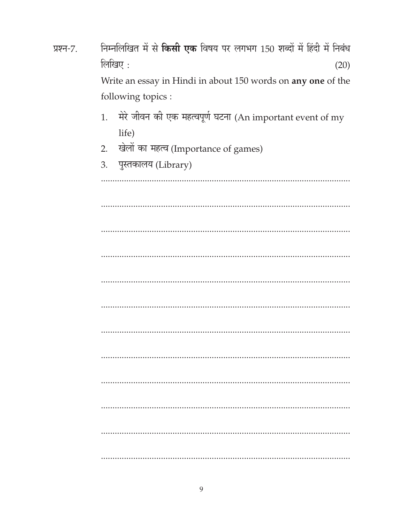| प्रश्न-7. | निम्नलिखित में से <b>किसी एक</b> विषय पर लगभग 150 शब्दों में हिंदी में निबंध |
|-----------|------------------------------------------------------------------------------|
|           | लिखिए:<br>(20)                                                               |
|           | Write an essay in Hindi in about 150 words on any one of the                 |
|           | following topics :                                                           |
|           | मेरे जीवन की एक महत्वपूर्ण घटना (An important event of my<br>1.              |
|           | life)                                                                        |
|           | खेलों का महत्व (Importance of games)<br>2.                                   |
|           | पुस्तकालय (Library)<br>3.                                                    |
|           |                                                                              |
|           |                                                                              |
|           |                                                                              |
|           |                                                                              |
|           |                                                                              |
|           |                                                                              |
|           |                                                                              |
|           |                                                                              |
|           |                                                                              |
|           |                                                                              |
|           |                                                                              |
|           |                                                                              |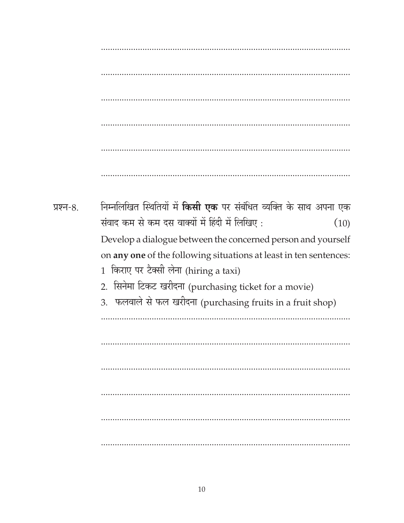निम्नलिखित स्थितियों में **किसी एक** पर संबंधित व्यक्ति के साथ अपना एक प्रश्न-8. संवाद कम से कम दस वाक्यों में हिंदी में लिखिए:  $(10)$ Develop a dialogue between the concerned person and yourself on any one of the following situations at least in ten sentences: 1 किराए पर टैक्सी लेना (hiring a taxi) 2. सिनेमा टिकट खरीदना (purchasing ticket for a movie) 3. फलवाले से फल खरीदना (purchasing fruits in a fruit shop)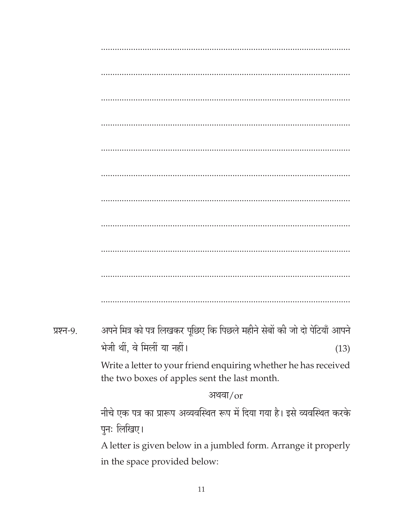| प्रश्न-9. | अपने मित्र को पत्र लिखकर पूछिए कि पिछले महीने सेबों की जो दो पेटियाँ आपने                                       |
|-----------|-----------------------------------------------------------------------------------------------------------------|
|           | भेजी थीं, वे मिलीं या नहीं।<br>(13)                                                                             |
|           | Write a letter to your friend enquiring whether he has received<br>the two boxes of apples sent the last month. |
|           | अथवा/or                                                                                                         |
|           | नीचे एक पत्र का प्रारूप अव्यवस्थित रूप में दिया गया है। इसे व्यवस्थित करके                                      |
|           | पुनः लिखिए।                                                                                                     |
|           | A letter is given below in a jumbled form. Arrange it properly                                                  |
|           | in the space provided below:                                                                                    |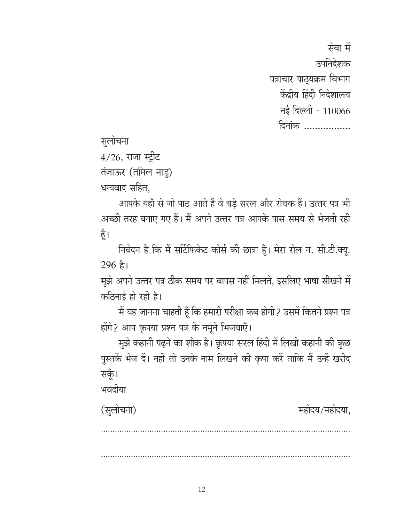सेवा में उपनिदेशक पत्राचार पाठ्यक्रम विभाग केंद्रीय हिंदी निदेशालय नई दिल्ली - 110066 दिनांक .................

सुलोचना

 $4/26$ , राजा स्ट्रीट

तंजाऊर (तमिल नाडु)

धन्यवाद सहित,

आपके यहाँ से जो पाठ आते हैं वे बड़े सरल और रोचक हैं। उत्तर पत्र भी अच्छी तरह बनाए गए हैं। मैं अपने उत्तर पत्र आपके पास समय से भेजती रही हूँ।

निवेदन है कि मैं सर्टिफिकेट कोर्स की छात्रा हूँ। मेरा रोल न. सी.टी.क्यू.  $296 \;$ है।

मुझे अपने उत्तर पत्र ठीक समय पर वापस नहीं मिलते, इसलिए भाषा सीखने में कठिनाई हो रही है।

मैं यह जानना चाहती हूँ कि हमारी परीक्षा कब होगी? उसमें कितने प्रश्न पत्र होंगे? आप कृपया प्रश्न पत्र के नमूने भिजवाएँ।

मुझे कहानी पढ़ने का शौक है। कृपया सरल हिंदी में लिखी कहानी की कुछ पुस्तकें भेज दें। नहीं तो उनके नाम लिखने की कृपा करें ताकि मैं उन्हें खरीद सकूँ।

भवदीया

| (सुलोचना) | महोदय/महोदया, |  |
|-----------|---------------|--|
|           |               |  |